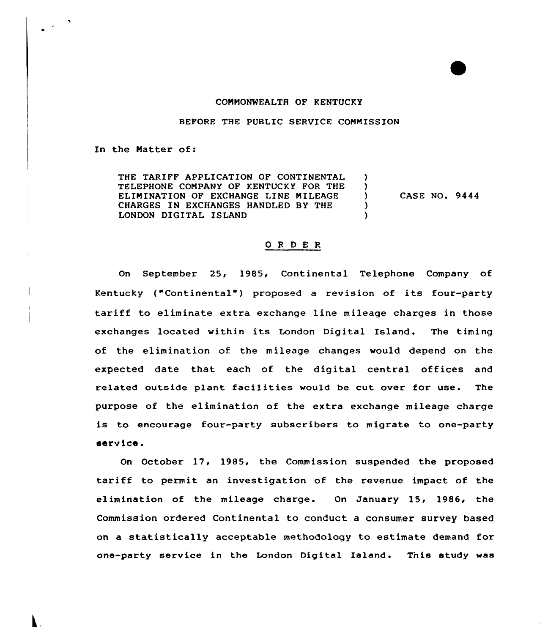### CONNONWEALTH OF KENTUCKY

#### BEFORE THE PUBLIC SERVICE CONNISSION

### In the Natter of:

 $\mathbf{L}^{\text{max}}$ 

THE TARIFF APPLICATION OF CONTINENTAL  $\mathcal{L}$ TELEPHONE CONPANY OF KENTUCKY FOR THE  $\lambda$ ELININATION OF EXCHANGE LINE NILEAGE CASE NO. 9444  $\lambda$ CHARGES IN EXCHANGES HANDLED BY THE  $\lambda$ LONDON DIGITAL ISLAND  $\lambda$ 

## ORDER

On September 25, 1985, Cont inental Telephone Company of Kentucky ("Continental") proposed a revision of its four-party tariff to eliminate extra exchange line mileage charges in those exchanges located within its London Digital Island. The timing of the elimination of the mileage changes would depend on the expected date that each of the digital central offices and related outside plant facilities would be cut over for use. The purpose of the elimination of the extra exchange mileage charge is to encourage four-party subscribers to migrate to one-party service.

On October 17, 1985, the Commission suspended the proposed tariff to permit an investigation of the revenue impact of the elimination of the mileage charge. On January 15, 1986, the Commission ordered Continental to conduct a consumer survey based on a statistically acceptable methodology to estimate demand for one-party service in the London Digital Island. Tnis study was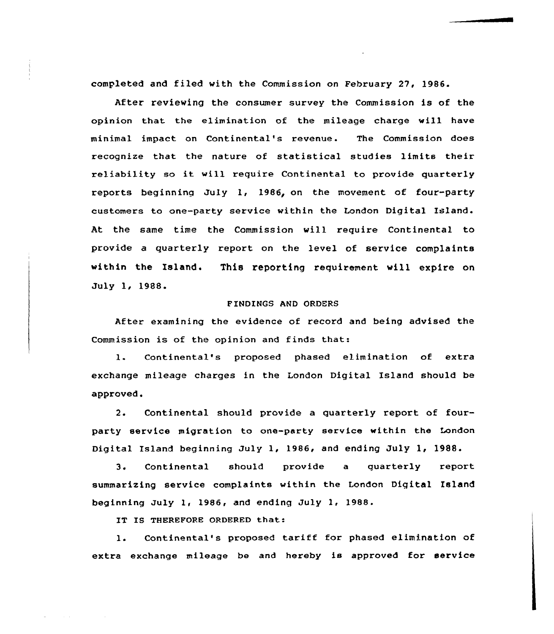completed and filed with the Commission on February 27, 1986.

After reviewing the consumer survey the Commission is of the opinion that the elimination of the mileage charge will have minimal impact on Continental's revenue. The Commission does recognize that the nature of statistical studies limits their reliability so it will require Continental to provide quarterly reports beginning July 1, 1986, on the movement of four-party customers to one-party service within the London Digital Island. At the same time the Commission will require Continental to provide a quarterly report on the level of service complaints within the Island. This reporting requirement will expire on July 1< 1988.

# F INDINGS AND ORDERS

After examining the evidence of record and being advised the Commission is of the opinion and finds that:

1. Continental's proposed phased elimination of extra exchange mileage charges in the London Digital Island should be approved.

2. Continental should provide a quarterly report of fourparty service migration to one-party service within the London Digital Island beginning July 1, 1986, and ending July 1< 1988

 $3.$ Continental should provide a quarterly report summarizing service complaints within the London Digital Island beginning July 1< 1986, and ending July 1, 1988.

IT IS THEREFORE ORDERED that:

1. Continental's proposed tariff for phased elimination of extra exchange mileage be and hereby is approved for service